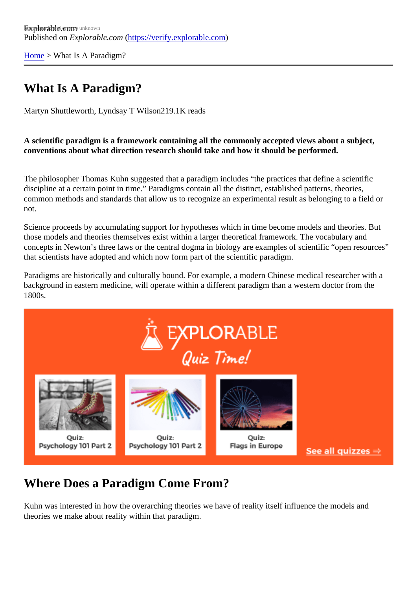[Home](https://verify.explorable.com/) > What Is A Paradigm?

# What Is A Paradigm?

Martyn Shuttleworth, Lyndsay T Wils@19.1K reads

A scientific paradigm is a framework containing all the commonly accepted views about a subject, conventions about what direction research should take and how it should be performed.

The philosopher Thomas Kuhn suggested that a paradigm includes "the practices that define a scientific discipline at a certain point in time." Paradigms contain all the distinct, established patterns, theories, common methods and standards that allow us to recognize an experimental result as belonging to a field or not.

Science proceeds by accumulating support for hypotheses which in time become models and theories. But those models and theories themselves exist within a larger theoretical framework. The vocabulary and concepts in Newton's three laws or the central dogma in biology are examples of scientific "open resource that scientists have adopted and which now form part of the scientific paradigm.

Paradigms are historically and culturally bound. For example, a modern Chinese medical researcher with a background in eastern medicine, will operate within a different paradigm than a western doctor from the 1800s.

# Where Does a Paradigm Come From?

Kuhn was interested in how the overarching theories we have of reality itself influence the models and theories we make about reality within that paradigm.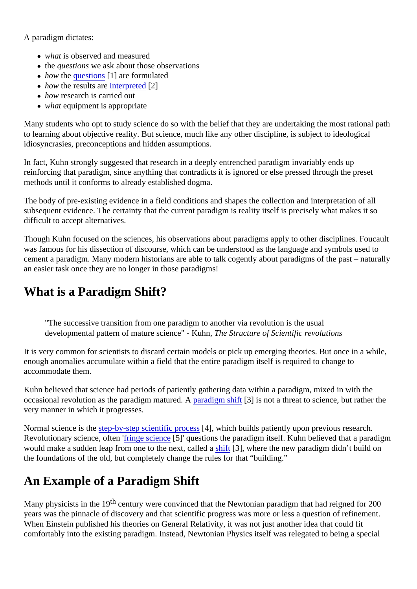A paradigm dictates:

- what is observed and measured
- the questions we ask about those observations
- how the [question](https://explorable.com/defining-a-research-problem)s<sup>[1]</sup> are formulated
- $\bullet$  how the results are terpreted 2]
- how research is carried out
- what equipment is appropriate

Many students who opt to study science do so with the belief that they are undertaking the most rational path to learning about objective reality. But science, much like any other discipline, is subject to ideological idiosyncrasies, preconceptions and hidden assumptions.

In fact, Kuhn strongly suggested that research in a deeply entrenched paradigm invariably ends up reinforcing that paradigm, since anything that contradicts it is ignored or else pressed through the preset methods until it conforms to already established dogma.

The body of pre-existing evidence in a field conditions and shapes the collection and interpretation of all subsequent evidence. The certainty that the current paradigm is reality itself is precisely what makes it so difficult to accept alternatives.

Though Kuhn focused on the sciences, his observations about paradigms apply to other disciplines. Fouca was famous for his dissection of discourse, which can be understood as the language and symbols used to cement a paradigm. Many modern historians are able to talk cogently about paradigms of the past – natur an easier task once they are no longer in those paradigms!

## What is a Paradigm Shift?

"The successive transition from one paradigm to another via revolution is the usual developmental pattern of mature science" - Kullime Structure of Scientific revolutions

It is very common for scientists to discard certain models or pick up emerging theories. But once in a while enough anomalies accumulate within a field that the entire paradigm itself is required to change to accommodate them.

Kuhn believed that science had periods of patiently gathering data within a paradigm, mixed in with the occasional revolution as the paradigm matureda. A a paradigm shift 3] is not a threat to science, but rather the very manner in which it progresses.

Normal science is the tep-by-step scientific procest, which builds patiently upon previous research. Revolutionary science, ofteminge science<sup>[5]</sup> questions the paradigm itself. Kuhn believed that a paradigm would make a sudden leap from one to the next, ca[lled a](https://explorable.com/paradigm-shift) [shift](https://explorable.com/paradigm-shift) a shift are we paradigm didn't build on the foundations of the old, but completely change the rules for that "building."

## An Example of a Paradigm Shift

Many physicists in the 19 century were convinced that the Newtonian paradigm that had reigned for 200 years was the pinnacle of discovery and that scientific progress was more or less a question of refinement. When Einstein published his theories on General Relativity, it was not just another idea that could fit comfortably into the existing paradigm. Instead, Newtonian Physics itself was relegated to being a special